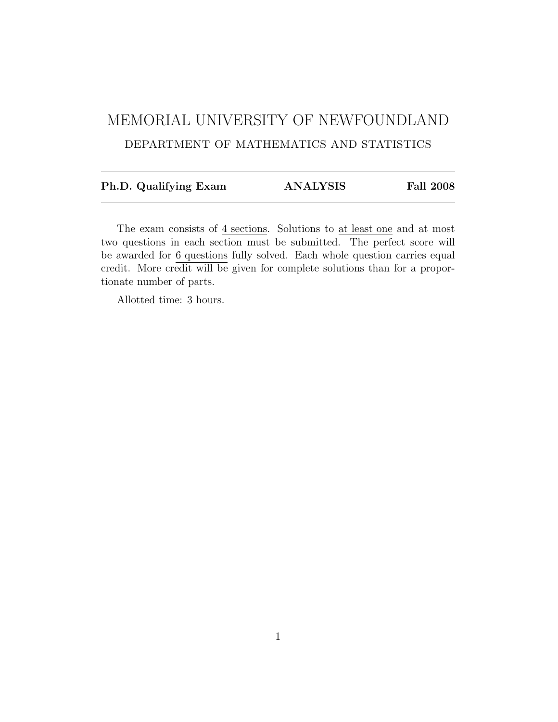# MEMORIAL UNIVERSITY OF NEWFOUNDLAND DEPARTMENT OF MATHEMATICS AND STATISTICS

| Ph.D. Qualifying Exam | <b>ANALYSIS</b> | <b>Fall 2008</b> |
|-----------------------|-----------------|------------------|
|                       |                 |                  |

The exam consists of  $4$  sections. Solutions to  $at$  least one and at most two questions in each section must be submitted. The perfect score will be awarded for 6 questions fully solved. Each whole question carries equal credit. More credit will be given for complete solutions than for a proportionate number of parts.

Allotted time: 3 hours.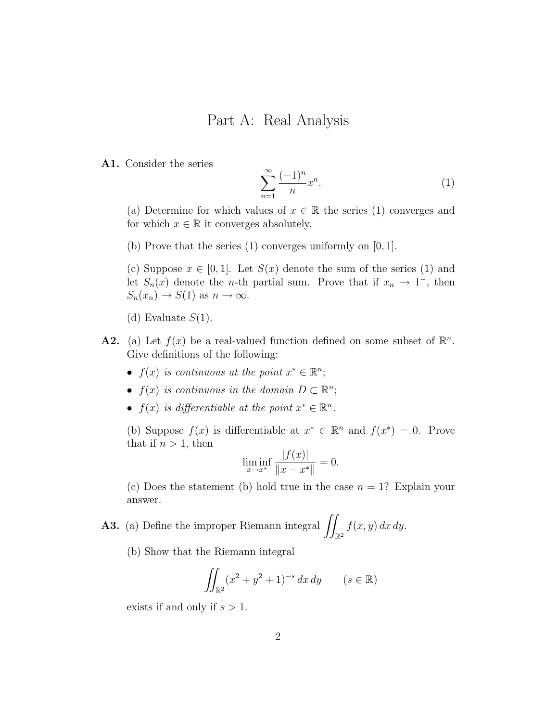#### Part A: Real Analysis

A1. Consider the series

$$
\sum_{n=1}^{\infty} \frac{(-1)^n}{n} x^n.
$$
 (1)

(a) Determine for which values of  $x \in \mathbb{R}$  the series (1) converges and for which  $x \in \mathbb{R}$  it converges absolutely.

(b) Prove that the series (1) converges uniformly on [0, 1].

(c) Suppose  $x \in [0,1]$ . Let  $S(x)$  denote the sum of the series (1) and let  $S_n(x)$  denote the *n*-th partial sum. Prove that if  $x_n \to 1^-$ , then  $S_n(x_n) \to S(1)$  as  $n \to \infty$ .

- (d) Evaluate  $S(1)$ .
- **A2.** (a) Let  $f(x)$  be a real-valued function defined on some subset of  $\mathbb{R}^n$ . Give definitions of the following:
	- $f(x)$  is continuous at the point  $x^* \in \mathbb{R}^n$ ;
	- $f(x)$  is continuous in the domain  $D \subset \mathbb{R}^n$ ;
	- $f(x)$  is differentiable at the point  $x^* \in \mathbb{R}^n$ .

(b) Suppose  $f(x)$  is differentiable at  $x^* \in \mathbb{R}^n$  and  $f(x^*) = 0$ . Prove that if  $n > 1$ , then

$$
\liminf_{x \to x^*} \frac{|f(x)|}{\|x - x^*\|} = 0.
$$

(c) Does the statement (b) hold true in the case  $n = 1$ ? Explain your answer.

**A3.** (a) Define the improper Riemann integral  $\int$  $\mathbb{R}^2$  $f(x, y) dx dy$ .

(b) Show that the Riemann integral

$$
\iint_{\mathbb{R}^2} (x^2 + y^2 + 1)^{-s} dx dy \qquad (s \in \mathbb{R})
$$

exists if and only if  $s > 1$ .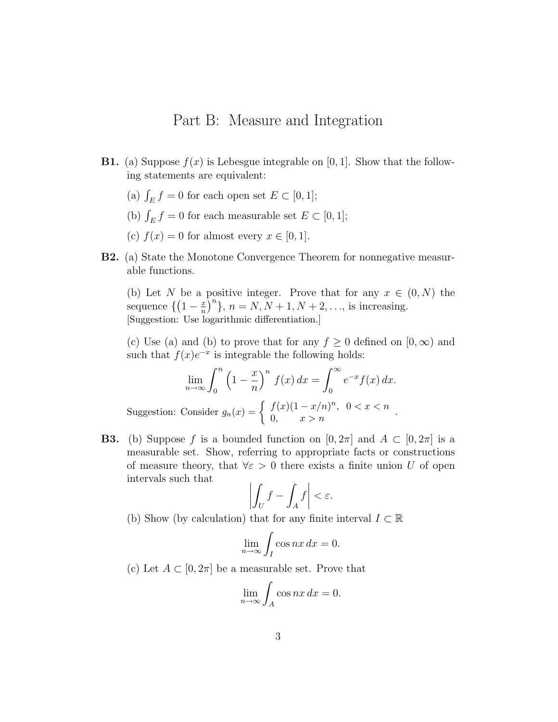#### Part B: Measure and Integration

- **B1.** (a) Suppose  $f(x)$  is Lebesgue integrable on [0, 1]. Show that the following statements are equivalent:
	- (a)  $\int_E f = 0$  for each open set  $E \subset [0, 1]$ ;
	- (b)  $\int_E f = 0$  for each measurable set  $E \subset [0, 1]$ ;
	- (c)  $f(x) = 0$  for almost every  $x \in [0, 1]$ .
- B2. (a) State the Monotone Convergence Theorem for nonnegative measurable functions.

(b) Let N be a positive integer. Prove that for any  $x \in (0, N)$  the sequence  $\left\{ \left(1 - \frac{x}{n}\right) \right\}$  $\left(\frac{x}{n}\right)^n$ ,  $n = N, N + 1, N + 2, \ldots$ , is increasing. [Suggestion: Use logarithmic differentiation.]

(c) Use (a) and (b) to prove that for any  $f \geq 0$  defined on  $[0, \infty)$  and such that  $f(x)e^{-x}$  is integrable the following holds:

$$
\lim_{n \to \infty} \int_0^n \left(1 - \frac{x}{n}\right)^n f(x) dx = \int_0^\infty e^{-x} f(x) dx.
$$
  
Suggestion: Consider  $g_n(x) = \begin{cases} f(x)(1 - x/n)^n, & 0 < x < n \\ 0, & x > n \end{cases}$ .

**B3.** (b) Suppose f is a bounded function on  $[0, 2\pi]$  and  $A \subset [0, 2\pi]$  is a measurable set. Show, referring to appropriate facts or constructions of measure theory, that  $\forall \varepsilon > 0$  there exists a finite union U of open intervals such that

$$
\left| \int_{U} f - \int_{A} f \right| < \varepsilon.
$$

(b) Show (by calculation) that for any finite interval  $I \subset \mathbb{R}$ 

$$
\lim_{n \to \infty} \int_I \cos nx \, dx = 0.
$$

(c) Let  $A \subset [0, 2\pi]$  be a measurable set. Prove that

$$
\lim_{n \to \infty} \int_A \cos nx \, dx = 0.
$$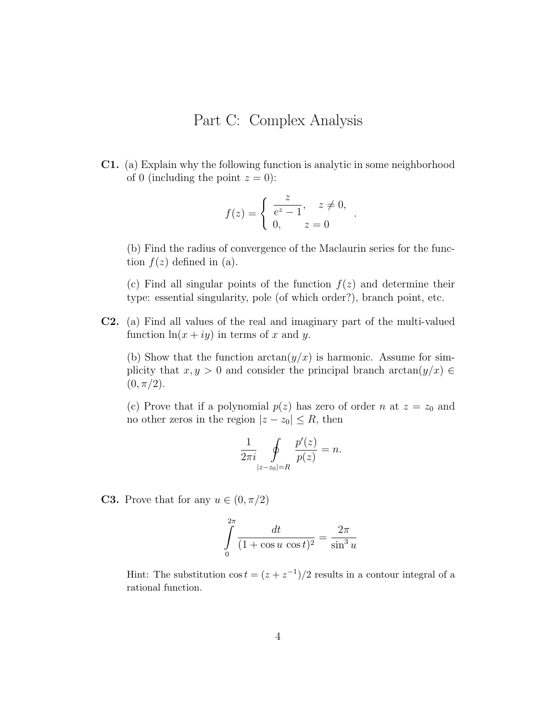## Part C: Complex Analysis

C1. (a) Explain why the following function is analytic in some neighborhood of 0 (including the point  $z = 0$ ):

$$
f(z) = \begin{cases} \frac{z}{e^z - 1}, & z \neq 0, \\ 0, & z = 0 \end{cases}
$$

.

(b) Find the radius of convergence of the Maclaurin series for the function  $f(z)$  defined in (a).

(c) Find all singular points of the function  $f(z)$  and determine their type: essential singularity, pole (of which order?), branch point, etc.

C2. (a) Find all values of the real and imaginary part of the multi-valued function  $\ln(x + iy)$  in terms of x and y.

(b) Show that the function  $arctan(y/x)$  is harmonic. Assume for simplicity that  $x, y > 0$  and consider the principal branch arctan $(y/x) \in$  $(0, \pi/2).$ 

(c) Prove that if a polynomial  $p(z)$  has zero of order n at  $z = z_0$  and no other zeros in the region  $|z - z_0| \le R$ , then

$$
\frac{1}{2\pi i} \oint\limits_{|z-z_0|=R} \frac{p'(z)}{p(z)} = n.
$$

**C3.** Prove that for any  $u \in (0, \pi/2)$ 

$$
\int_{0}^{2\pi} \frac{dt}{(1 + \cos u \cos t)^2} = \frac{2\pi}{\sin^3 u}
$$

Hint: The substitution  $\cos t = (z + z^{-1})/2$  results in a contour integral of a rational function.